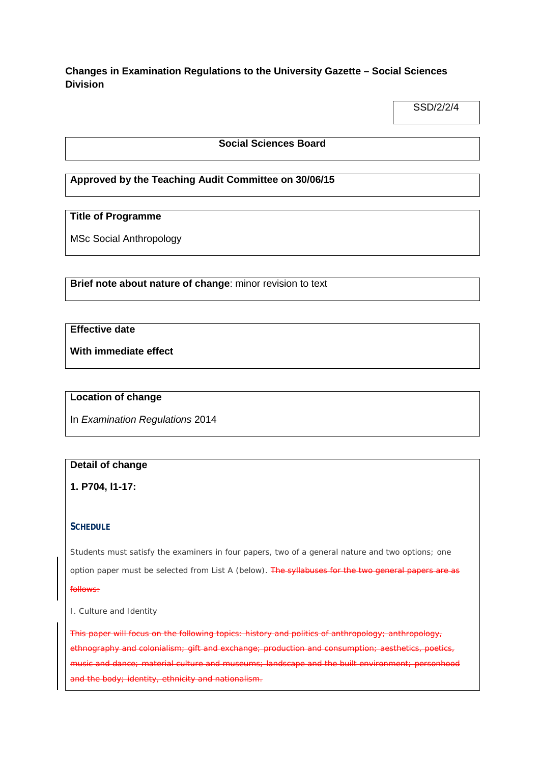## **Changes in Examination Regulations to the University Gazette – Social Sciences Division**

SSD/2/2/4

#### **Social Sciences Board**

### **Approved by the Teaching Audit Committee on 30/06/15**

#### **Title of Programme**

MSc Social Anthropology

**Brief note about nature of change**: minor revision to text

## **Effective date**

**With immediate effect**

#### **Location of change**

In *Examination Regulations* 2014

## **Detail of change**

**1. P704, l1-17:**

#### **SCHEDULE**

Students must satisfy the examiners in four papers, two of a general nature and two options; one option paper must be selected from List A (below). The syllabuses for the two general papers are as follows:

I. *Culture and Identity* 

This paper will focus on the following topics: history and politics of anthropology; anthropology, ethnography and colonialism; gift and exchange; production and consumption music and dance; material culture and museums; landscape and the built environment; personhood and the body; identity, ethnicity and nationalism.